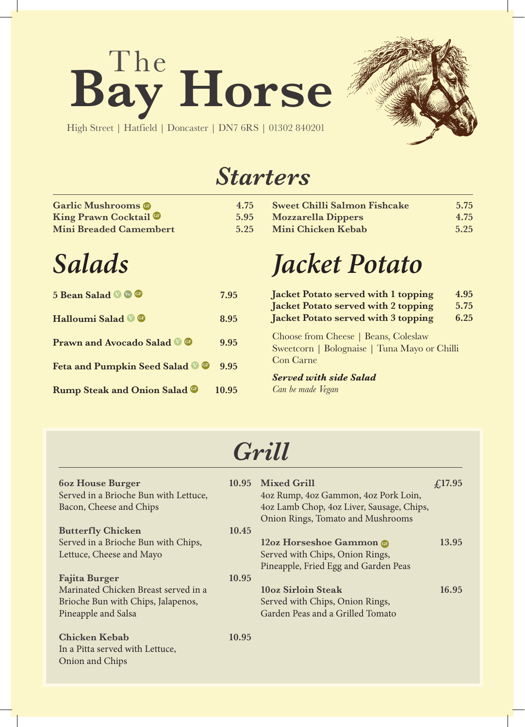# Bay Horse



High Street | Hatfield | Doncaster | DN7 6RS | 01302 840201

### *Starters*

| <b>Garlic Mushrooms @</b>     | 4.75 |
|-------------------------------|------|
| King Prawn Cocktail           | 5.95 |
| <b>Mini Breaded Camembert</b> | 5.25 |

**Sweet Chilli Salmon Fishcake** 5.75<br>**Mozzarella Dippers** 4.75 **Mozzarella Dippers 4.75 Mini Chicken Kebab 5.25**

## *Salads*

| 5 Bean Salad V & ®                       | 7.95  |
|------------------------------------------|-------|
| Halloumi Salad <b>V</b> ®                | 8.95  |
| <b>Prawn and Avocado Salad OG</b>        | 9.95  |
| Feta and Pumpkin Seed Salad <sup>®</sup> | 9.95  |
| <b>Rump Steak and Onion Salad ®</b>      | 10.95 |

# *Jacket Potato*

| Jacket Potato served with 1 topping                                                                      | 4.95 |
|----------------------------------------------------------------------------------------------------------|------|
| Jacket Potato served with 2 topping                                                                      | 5.75 |
| Jacket Potato served with 3 topping                                                                      | 6.25 |
| Choose from Cheese   Beans, Coleslaw<br>Sweetcorn   Bolognaise   Tuna Mayo or Chilli<br><b>Con Carne</b> |      |
| <b>Served with side Salad</b>                                                                            |      |

*Can be made Vegan*

### *Grill*

| <b>60z House Burger</b><br>Served in a Brioche Bun with Lettuce,<br>Bacon, Cheese and Chips       |       | 10.95 Mixed Grill<br>4oz Rump, 4oz Gammon, 4oz Pork Loin,<br>4oz Lamb Chop, 4oz Liver, Sausage, Chips,<br>Onion Rings, Tomato and Mushrooms | f(17.95) |
|---------------------------------------------------------------------------------------------------|-------|---------------------------------------------------------------------------------------------------------------------------------------------|----------|
| <b>Butterfly Chicken</b>                                                                          | 10.45 |                                                                                                                                             |          |
| Served in a Brioche Bun with Chips,<br>Lettuce, Cheese and Mayo                                   |       | 12oz Horseshoe Gammon<br>Served with Chips, Onion Rings,<br>Pineapple, Fried Egg and Garden Peas                                            | 13.95    |
| <b>Fajita Burger</b>                                                                              | 10.95 |                                                                                                                                             |          |
| Marinated Chicken Breast served in a<br>Brioche Bun with Chips, Jalapenos,<br>Pineapple and Salsa |       | 10oz Sirloin Steak<br>Served with Chips, Onion Rings,<br>Garden Peas and a Grilled Tomato                                                   | 16.95    |
| <b>Chicken Kebab</b><br>In a Pitta served with Lettuce,<br>Onion and Chips                        | 10.95 |                                                                                                                                             |          |